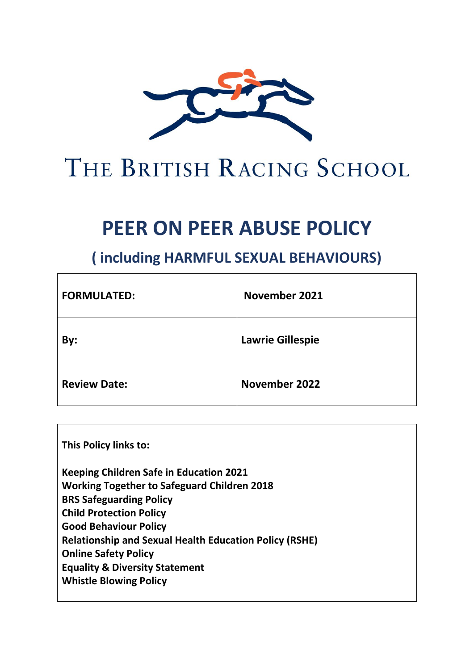

# THE BRITISH RACING SCHOOL

## **PEER ON PEER ABUSE POLICY**

### **( including HARMFUL SEXUAL BEHAVIOURS)**

| <b>FORMULATED:</b>  | November 2021           |
|---------------------|-------------------------|
| By:                 | <b>Lawrie Gillespie</b> |
| <b>Review Date:</b> | November 2022           |

**This Policy links to:**

**Keeping Children Safe in Education 2021 Working Together to Safeguard Children 2018 BRS Safeguarding Policy Child Protection Policy Good Behaviour Policy Relationship and Sexual Health Education Policy (RSHE) Online Safety Policy Equality & Diversity Statement Whistle Blowing Policy**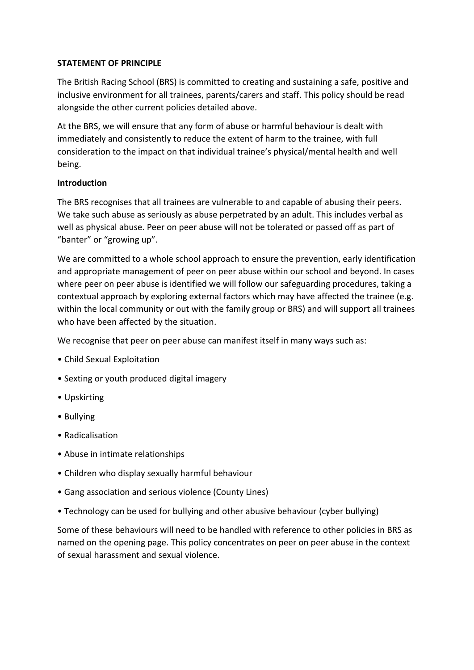#### **STATEMENT OF PRINCIPLE**

The British Racing School (BRS) is committed to creating and sustaining a safe, positive and inclusive environment for all trainees, parents/carers and staff. This policy should be read alongside the other current policies detailed above.

At the BRS, we will ensure that any form of abuse or harmful behaviour is dealt with immediately and consistently to reduce the extent of harm to the trainee, with full consideration to the impact on that individual trainee's physical/mental health and well being.

#### **Introduction**

The BRS recognises that all trainees are vulnerable to and capable of abusing their peers. We take such abuse as seriously as abuse perpetrated by an adult. This includes verbal as well as physical abuse. Peer on peer abuse will not be tolerated or passed off as part of "banter" or "growing up".

We are committed to a whole school approach to ensure the prevention, early identification and appropriate management of peer on peer abuse within our school and beyond. In cases where peer on peer abuse is identified we will follow our safeguarding procedures, taking a contextual approach by exploring external factors which may have affected the trainee (e.g. within the local community or out with the family group or BRS) and will support all trainees who have been affected by the situation.

We recognise that peer on peer abuse can manifest itself in many ways such as:

- Child Sexual Exploitation
- Sexting or youth produced digital imagery
- Upskirting
- Bullying
- Radicalisation
- Abuse in intimate relationships
- Children who display sexually harmful behaviour
- Gang association and serious violence (County Lines)
- Technology can be used for bullying and other abusive behaviour (cyber bullying)

Some of these behaviours will need to be handled with reference to other policies in BRS as named on the opening page. This policy concentrates on peer on peer abuse in the context of sexual harassment and sexual violence.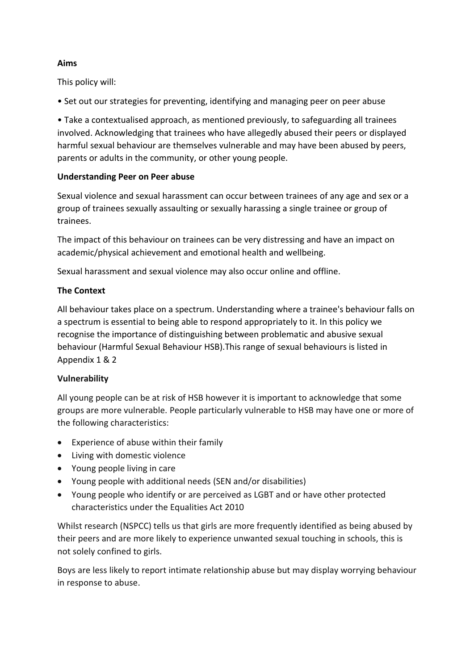#### **Aims**

This policy will:

• Set out our strategies for preventing, identifying and managing peer on peer abuse

• Take a contextualised approach, as mentioned previously, to safeguarding all trainees involved. Acknowledging that trainees who have allegedly abused their peers or displayed harmful sexual behaviour are themselves vulnerable and may have been abused by peers, parents or adults in the community, or other young people.

#### **Understanding Peer on Peer abuse**

Sexual violence and sexual harassment can occur between trainees of any age and sex or a group of trainees sexually assaulting or sexually harassing a single trainee or group of trainees.

The impact of this behaviour on trainees can be very distressing and have an impact on academic/physical achievement and emotional health and wellbeing.

Sexual harassment and sexual violence may also occur online and offline.

#### **The Context**

All behaviour takes place on a spectrum. Understanding where a trainee's behaviour falls on a spectrum is essential to being able to respond appropriately to it. In this policy we recognise the importance of distinguishing between problematic and abusive sexual behaviour (Harmful Sexual Behaviour HSB).This range of sexual behaviours is listed in Appendix 1 & 2

#### **Vulnerability**

All young people can be at risk of HSB however it is important to acknowledge that some groups are more vulnerable. People particularly vulnerable to HSB may have one or more of the following characteristics:

- Experience of abuse within their family
- Living with domestic violence
- Young people living in care
- Young people with additional needs (SEN and/or disabilities)
- Young people who identify or are perceived as LGBT and or have other protected characteristics under the Equalities Act 2010

Whilst research (NSPCC) tells us that girls are more frequently identified as being abused by their peers and are more likely to experience unwanted sexual touching in schools, this is not solely confined to girls.

Boys are less likely to report intimate relationship abuse but may display worrying behaviour in response to abuse.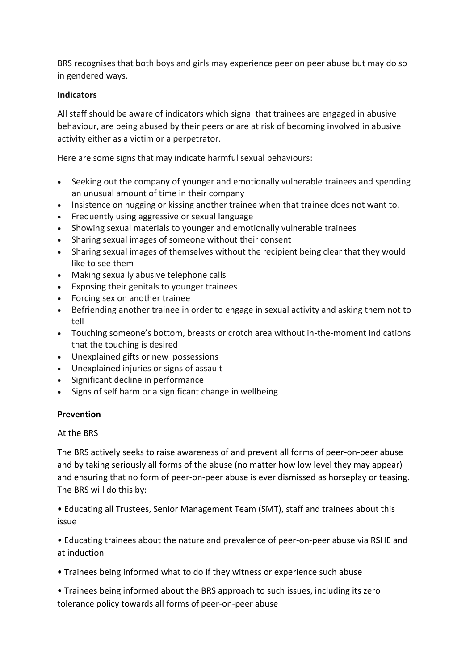BRS recognises that both boys and girls may experience peer on peer abuse but may do so in gendered ways.

#### **Indicators**

All staff should be aware of indicators which signal that trainees are engaged in abusive behaviour, are being abused by their peers or are at risk of becoming involved in abusive activity either as a victim or a perpetrator.

Here are some signs that may indicate harmful sexual behaviours:

- Seeking out the company of younger and emotionally vulnerable trainees and spending an unusual amount of time in their company
- Insistence on hugging or kissing another trainee when that trainee does not want to.
- Frequently using aggressive or sexual language
- Showing sexual materials to younger and emotionally vulnerable trainees
- Sharing sexual images of someone without their consent
- Sharing sexual images of themselves without the recipient being clear that they would like to see them
- Making sexually abusive telephone calls
- Exposing their genitals to younger trainees
- Forcing sex on another trainee
- Befriending another trainee in order to engage in sexual activity and asking them not to tell
- Touching someone's bottom, breasts or crotch area without in-the-moment indications that the touching is desired
- Unexplained gifts or new possessions
- Unexplained injuries or signs of assault
- Significant decline in performance
- Signs of self harm or a significant change in wellbeing

#### **Prevention**

#### At the BRS

The BRS actively seeks to raise awareness of and prevent all forms of peer-on-peer abuse and by taking seriously all forms of the abuse (no matter how low level they may appear) and ensuring that no form of peer-on-peer abuse is ever dismissed as horseplay or teasing. The BRS will do this by:

• Educating all Trustees, Senior Management Team (SMT), staff and trainees about this issue

• Educating trainees about the nature and prevalence of peer-on-peer abuse via RSHE and at induction

• Trainees being informed what to do if they witness or experience such abuse

• Trainees being informed about the BRS approach to such issues, including its zero tolerance policy towards all forms of peer-on-peer abuse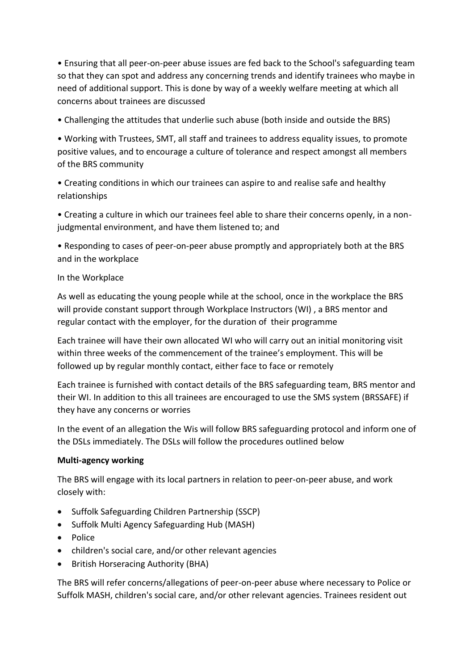• Ensuring that all peer-on-peer abuse issues are fed back to the School's safeguarding team so that they can spot and address any concerning trends and identify trainees who maybe in need of additional support. This is done by way of a weekly welfare meeting at which all concerns about trainees are discussed

• Challenging the attitudes that underlie such abuse (both inside and outside the BRS)

• Working with Trustees, SMT, all staff and trainees to address equality issues, to promote positive values, and to encourage a culture of tolerance and respect amongst all members of the BRS community

• Creating conditions in which our trainees can aspire to and realise safe and healthy relationships

• Creating a culture in which our trainees feel able to share their concerns openly, in a nonjudgmental environment, and have them listened to; and

• Responding to cases of peer-on-peer abuse promptly and appropriately both at the BRS and in the workplace

#### In the Workplace

As well as educating the young people while at the school, once in the workplace the BRS will provide constant support through Workplace Instructors (WI) , a BRS mentor and regular contact with the employer, for the duration of their programme

Each trainee will have their own allocated WI who will carry out an initial monitoring visit within three weeks of the commencement of the trainee's employment. This will be followed up by regular monthly contact, either face to face or remotely

Each trainee is furnished with contact details of the BRS safeguarding team, BRS mentor and their WI. In addition to this all trainees are encouraged to use the SMS system (BRSSAFE) if they have any concerns or worries

In the event of an allegation the Wis will follow BRS safeguarding protocol and inform one of the DSLs immediately. The DSLs will follow the procedures outlined below

#### **Multi-agency working**

The BRS will engage with its local partners in relation to peer-on-peer abuse, and work closely with:

- Suffolk Safeguarding Children Partnership (SSCP)
- Suffolk Multi Agency Safeguarding Hub (MASH)
- Police
- children's social care, and/or other relevant agencies
- British Horseracing Authority (BHA)

The BRS will refer concerns/allegations of peer-on-peer abuse where necessary to Police or Suffolk MASH, children's social care, and/or other relevant agencies. Trainees resident out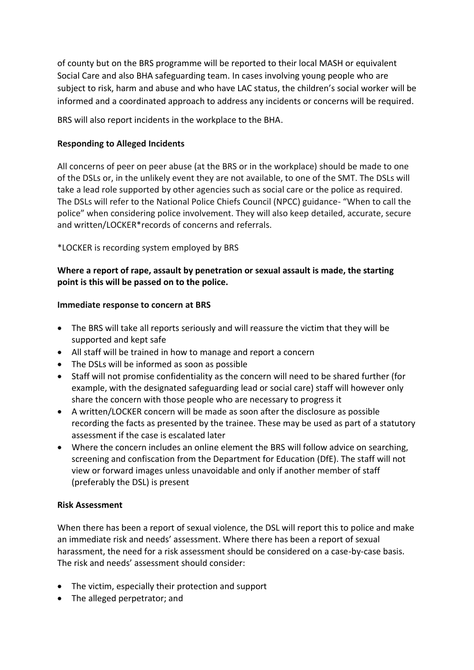of county but on the BRS programme will be reported to their local MASH or equivalent Social Care and also BHA safeguarding team. In cases involving young people who are subject to risk, harm and abuse and who have LAC status, the children's social worker will be informed and a coordinated approach to address any incidents or concerns will be required.

BRS will also report incidents in the workplace to the BHA.

#### **Responding to Alleged Incidents**

All concerns of peer on peer abuse (at the BRS or in the workplace) should be made to one of the DSLs or, in the unlikely event they are not available, to one of the SMT. The DSLs will take a lead role supported by other agencies such as social care or the police as required. The DSLs will refer to the National Police Chiefs Council (NPCC) guidance- "When to call the police" when considering police involvement. They will also keep detailed, accurate, secure and written/LOCKER\*records of concerns and referrals.

\*LOCKER is recording system employed by BRS

#### **Where a report of rape, assault by penetration or sexual assault is made, the starting point is this will be passed on to the police.**

#### **Immediate response to concern at BRS**

- The BRS will take all reports seriously and will reassure the victim that they will be supported and kept safe
- All staff will be trained in how to manage and report a concern
- The DSLs will be informed as soon as possible
- Staff will not promise confidentiality as the concern will need to be shared further (for example, with the designated safeguarding lead or social care) staff will however only share the concern with those people who are necessary to progress it
- A written/LOCKER concern will be made as soon after the disclosure as possible recording the facts as presented by the trainee. These may be used as part of a statutory assessment if the case is escalated later
- Where the concern includes an online element the BRS will follow advice on searching, screening and confiscation from the Department for Education (DfE). The staff will not view or forward images unless unavoidable and only if another member of staff (preferably the DSL) is present

#### **Risk Assessment**

When there has been a report of sexual violence, the DSL will report this to police and make an immediate risk and needs' assessment. Where there has been a report of sexual harassment, the need for a risk assessment should be considered on a case-by-case basis. The risk and needs' assessment should consider:

- The victim, especially their protection and support
- The alleged perpetrator; and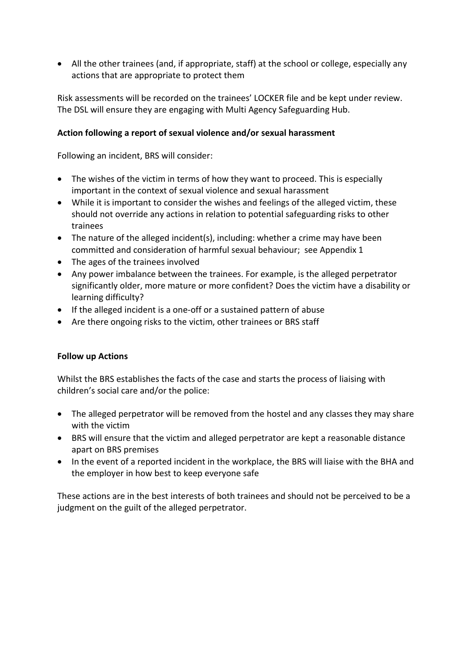• All the other trainees (and, if appropriate, staff) at the school or college, especially any actions that are appropriate to protect them

Risk assessments will be recorded on the trainees' LOCKER file and be kept under review. The DSL will ensure they are engaging with Multi Agency Safeguarding Hub.

#### **Action following a report of sexual violence and/or sexual harassment**

Following an incident, BRS will consider:

- The wishes of the victim in terms of how they want to proceed. This is especially important in the context of sexual violence and sexual harassment
- While it is important to consider the wishes and feelings of the alleged victim, these should not override any actions in relation to potential safeguarding risks to other trainees
- The nature of the alleged incident(s), including: whether a crime may have been committed and consideration of harmful sexual behaviour; see Appendix 1
- The ages of the trainees involved
- Any power imbalance between the trainees. For example, is the alleged perpetrator significantly older, more mature or more confident? Does the victim have a disability or learning difficulty?
- If the alleged incident is a one-off or a sustained pattern of abuse
- Are there ongoing risks to the victim, other trainees or BRS staff

#### **Follow up Actions**

Whilst the BRS establishes the facts of the case and starts the process of liaising with children's social care and/or the police:

- The alleged perpetrator will be removed from the hostel and any classes they may share with the victim
- BRS will ensure that the victim and alleged perpetrator are kept a reasonable distance apart on BRS premises
- In the event of a reported incident in the workplace, the BRS will liaise with the BHA and the employer in how best to keep everyone safe

These actions are in the best interests of both trainees and should not be perceived to be a judgment on the guilt of the alleged perpetrator.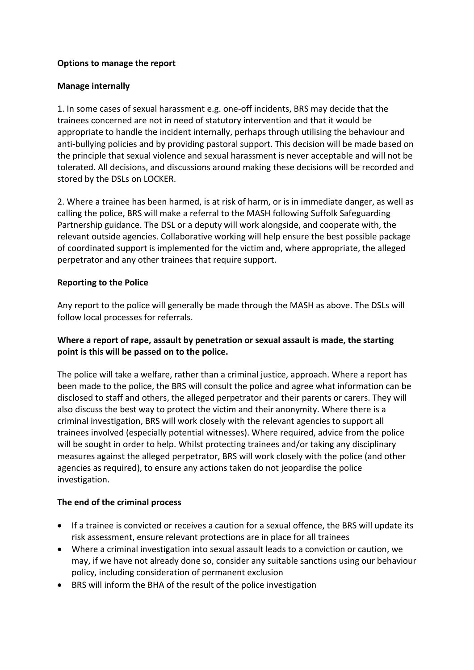#### **Options to manage the report**

#### **Manage internally**

1. In some cases of sexual harassment e.g. one-off incidents, BRS may decide that the trainees concerned are not in need of statutory intervention and that it would be appropriate to handle the incident internally, perhaps through utilising the behaviour and anti-bullying policies and by providing pastoral support. This decision will be made based on the principle that sexual violence and sexual harassment is never acceptable and will not be tolerated. All decisions, and discussions around making these decisions will be recorded and stored by the DSLs on LOCKER.

2. Where a trainee has been harmed, is at risk of harm, or is in immediate danger, as well as calling the police, BRS will make a referral to the MASH following Suffolk Safeguarding Partnership guidance. The DSL or a deputy will work alongside, and cooperate with, the relevant outside agencies. Collaborative working will help ensure the best possible package of coordinated support is implemented for the victim and, where appropriate, the alleged perpetrator and any other trainees that require support.

#### **Reporting to the Police**

Any report to the police will generally be made through the MASH as above. The DSLs will follow local processes for referrals.

#### **Where a report of rape, assault by penetration or sexual assault is made, the starting point is this will be passed on to the police.**

The police will take a welfare, rather than a criminal justice, approach. Where a report has been made to the police, the BRS will consult the police and agree what information can be disclosed to staff and others, the alleged perpetrator and their parents or carers. They will also discuss the best way to protect the victim and their anonymity. Where there is a criminal investigation, BRS will work closely with the relevant agencies to support all trainees involved (especially potential witnesses). Where required, advice from the police will be sought in order to help. Whilst protecting trainees and/or taking any disciplinary measures against the alleged perpetrator, BRS will work closely with the police (and other agencies as required), to ensure any actions taken do not jeopardise the police investigation.

#### **The end of the criminal process**

- If a trainee is convicted or receives a caution for a sexual offence, the BRS will update its risk assessment, ensure relevant protections are in place for all trainees
- Where a criminal investigation into sexual assault leads to a conviction or caution, we may, if we have not already done so, consider any suitable sanctions using our behaviour policy, including consideration of permanent exclusion
- BRS will inform the BHA of the result of the police investigation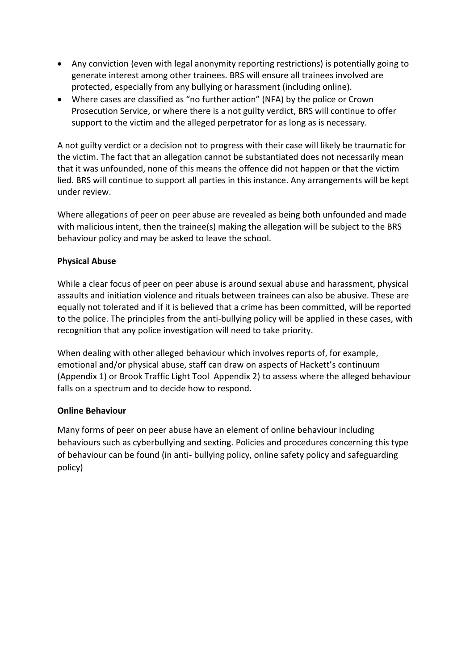- Any conviction (even with legal anonymity reporting restrictions) is potentially going to generate interest among other trainees. BRS will ensure all trainees involved are protected, especially from any bullying or harassment (including online).
- Where cases are classified as "no further action" (NFA) by the police or Crown Prosecution Service, or where there is a not guilty verdict, BRS will continue to offer support to the victim and the alleged perpetrator for as long as is necessary.

A not guilty verdict or a decision not to progress with their case will likely be traumatic for the victim. The fact that an allegation cannot be substantiated does not necessarily mean that it was unfounded, none of this means the offence did not happen or that the victim lied. BRS will continue to support all parties in this instance. Any arrangements will be kept under review.

Where allegations of peer on peer abuse are revealed as being both unfounded and made with malicious intent, then the trainee(s) making the allegation will be subject to the BRS behaviour policy and may be asked to leave the school.

#### **Physical Abuse**

While a clear focus of peer on peer abuse is around sexual abuse and harassment, physical assaults and initiation violence and rituals between trainees can also be abusive. These are equally not tolerated and if it is believed that a crime has been committed, will be reported to the police. The principles from the anti-bullying policy will be applied in these cases, with recognition that any police investigation will need to take priority.

When dealing with other alleged behaviour which involves reports of, for example, emotional and/or physical abuse, staff can draw on aspects of Hackett's continuum (Appendix 1) or Brook Traffic Light Tool Appendix 2) to assess where the alleged behaviour falls on a spectrum and to decide how to respond.

#### **Online Behaviour**

Many forms of peer on peer abuse have an element of online behaviour including behaviours such as cyberbullying and sexting. Policies and procedures concerning this type of behaviour can be found (in anti- bullying policy, online safety policy and safeguarding policy)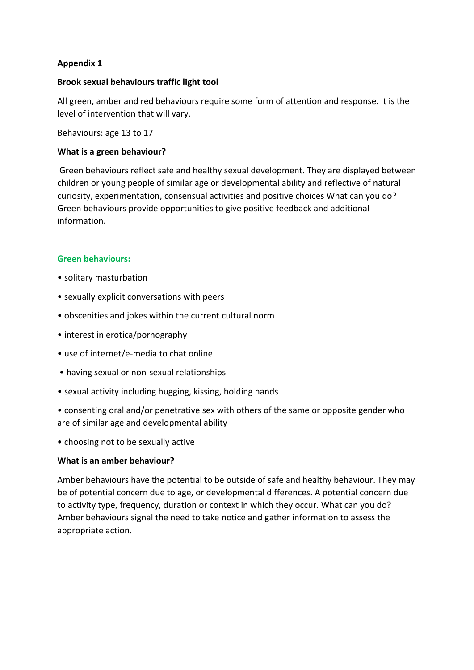#### **Appendix 1**

#### **Brook sexual behaviours traffic light tool**

All green, amber and red behaviours require some form of attention and response. It is the level of intervention that will vary.

Behaviours: age 13 to 17

#### **What is a green behaviour?**

Green behaviours reflect safe and healthy sexual development. They are displayed between children or young people of similar age or developmental ability and reflective of natural curiosity, experimentation, consensual activities and positive choices What can you do? Green behaviours provide opportunities to give positive feedback and additional information.

#### **Green behaviours:**

- solitary masturbation
- sexually explicit conversations with peers
- obscenities and jokes within the current cultural norm
- interest in erotica/pornography
- use of internet/e-media to chat online
- having sexual or non-sexual relationships
- sexual activity including hugging, kissing, holding hands
- consenting oral and/or penetrative sex with others of the same or opposite gender who are of similar age and developmental ability
- choosing not to be sexually active

#### **What is an amber behaviour?**

Amber behaviours have the potential to be outside of safe and healthy behaviour. They may be of potential concern due to age, or developmental differences. A potential concern due to activity type, frequency, duration or context in which they occur. What can you do? Amber behaviours signal the need to take notice and gather information to assess the appropriate action.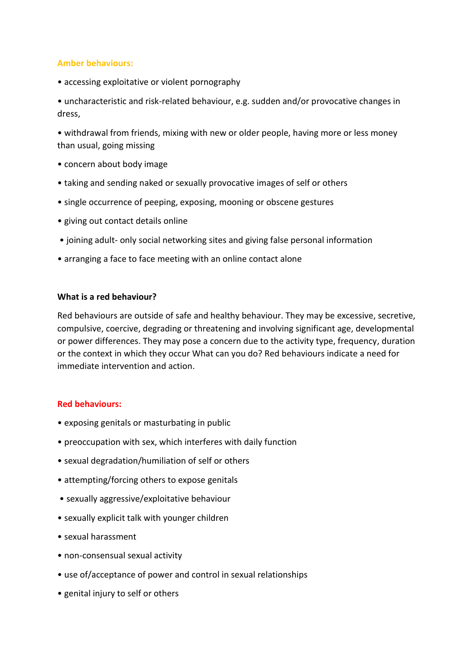#### **Amber behaviours:**

• accessing exploitative or violent pornography

• uncharacteristic and risk-related behaviour, e.g. sudden and/or provocative changes in dress,

• withdrawal from friends, mixing with new or older people, having more or less money than usual, going missing

- concern about body image
- taking and sending naked or sexually provocative images of self or others
- single occurrence of peeping, exposing, mooning or obscene gestures
- giving out contact details online
- joining adult- only social networking sites and giving false personal information
- arranging a face to face meeting with an online contact alone

#### **What is a red behaviour?**

Red behaviours are outside of safe and healthy behaviour. They may be excessive, secretive, compulsive, coercive, degrading or threatening and involving significant age, developmental or power differences. They may pose a concern due to the activity type, frequency, duration or the context in which they occur What can you do? Red behaviours indicate a need for immediate intervention and action.

#### **Red behaviours:**

- exposing genitals or masturbating in public
- preoccupation with sex, which interferes with daily function
- sexual degradation/humiliation of self or others
- attempting/forcing others to expose genitals
- sexually aggressive/exploitative behaviour
- sexually explicit talk with younger children
- sexual harassment
- non-consensual sexual activity
- use of/acceptance of power and control in sexual relationships
- genital injury to self or others